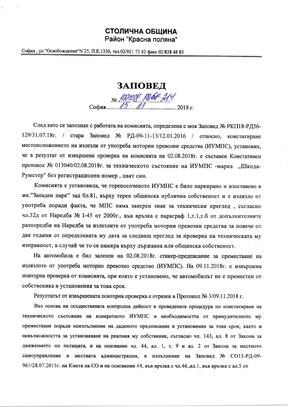## СТОЛИЧНА ОБШИНА

Район "Красна поляна"

София, ул. "Освобождение" N 25, П.К. 1330, тел. 02/921 72 42 факс 02/828 48 83

ЗАПОВЕД

No PRODIS POSE 214 София...

След като се запознах с работата на комисията, определена с моя Заповед № РКП18-РД56-129/31.07.18г. / стара Заповед № РД-09-11-13/12.01.2016 / относно, констатиране местоположението на излезли от употреба моторни превозни средства (ИУМПС), установих, че в резултат от извършена проверка на комисията на 02.08.2018г. е съставен Констативен протокол № 013040/02.08.2018г. за техническото състояние на ИУМПС -марка "Шкода-Румстер" без регистрационен номер, цвят син.

Комисията е установила, че горепосоченото ИУМПС е било паркирано и изоставено в жк."Западен парк" зад бл.81, върху терен общинска публична собственост и е излязло от употреба поради факта, че МПС няма заверен знак за технически преглед, съгласно чл.32д от Наредба № 1-45 от 2000г., във връзка с параграф 1,т.1,т.6 от допълнителните разпоредби на Наредба за излезлите от употреба моторни превозни средства за повече от две години от определената му дата за следващ преглед за проверка на техническата му изправност, в случай че то се намира върху държавна или общинска собственост.

На автомобила е бил залепен на 02.08.2018г. стикер-предписание за преместване на излязлото от употреба моторно превозно средство (ИУМПС). На 09.11.2018г. е извършена повторна проверка от комисията, при която е установено, че автомобилът не е преместен от собственика в установения за това срок.

Резултатът от извършената повторна проверка е отразен в Протокол № 3/09.11.2018 г.

Въз основа на осъществената контролна дейност в проведената процедура по констатиране на техническото състояние на конкретното ИУМПС и необходимостта от принудителното му преместване поради неизпълнение на даденото предписание в установения за това срок, както и невъзможността за установяване на реалния му собственик, съгласно чл. 143, ал. 8 от Закона за движението по пътищата, и на основание чл. 44, ал. 1, т. 9 и ал. 2 от Закона за местното самоуправление и местната администрация, в изпълнение на Заповед № СО15-РД-09- $961/28.07.2015$ г. на Кмета на СО и на основание 44, във връзка с чл.46., ал.1, във връзка с ал.5 от